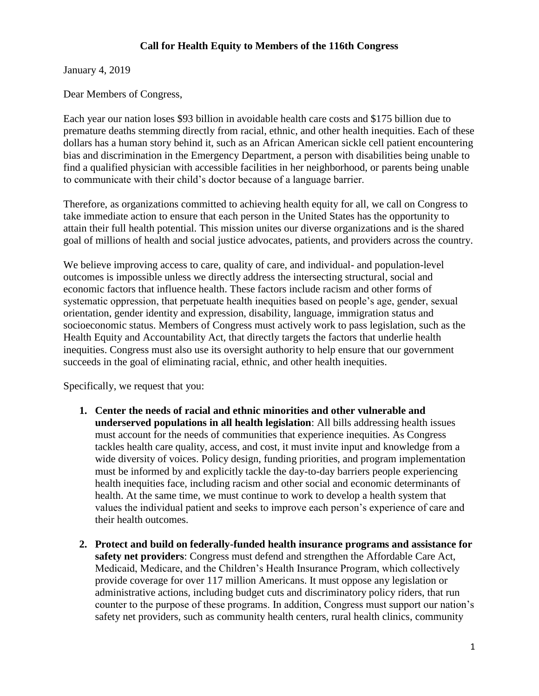## **Call for Health Equity to Members of the 116th Congress**

January 4, 2019

Dear Members of Congress,

Each year our nation loses \$93 billion in avoidable health care costs and \$175 billion due to premature deaths stemming directly from racial, ethnic, and other health inequities. Each of these dollars has a human story behind it, such as an African American sickle cell patient encountering bias and discrimination in the Emergency Department, a person with disabilities being unable to find a qualified physician with accessible facilities in her neighborhood, or parents being unable to communicate with their child's doctor because of a language barrier.

Therefore, as organizations committed to achieving health equity for all, we call on Congress to take immediate action to ensure that each person in the United States has the opportunity to attain their full health potential. This mission unites our diverse organizations and is the shared goal of millions of health and social justice advocates, patients, and providers across the country.

We believe improving access to care, quality of care, and individual- and population-level outcomes is impossible unless we directly address the intersecting structural, social and economic factors that influence health. These factors include racism and other forms of systematic oppression, that perpetuate health inequities based on people's age, gender, sexual orientation, gender identity and expression, disability, language, immigration status and socioeconomic status. Members of Congress must actively work to pass legislation, such as the Health Equity and Accountability Act, that directly targets the factors that underlie health inequities. Congress must also use its oversight authority to help ensure that our government succeeds in the goal of eliminating racial, ethnic, and other health inequities.

Specifically, we request that you:

- **1. Center the needs of racial and ethnic minorities and other vulnerable and underserved populations in all health legislation**: All bills addressing health issues must account for the needs of communities that experience inequities. As Congress tackles health care quality, access, and cost, it must invite input and knowledge from a wide diversity of voices. Policy design, funding priorities, and program implementation must be informed by and explicitly tackle the day-to-day barriers people experiencing health inequities face, including racism and other social and economic determinants of health. At the same time, we must continue to work to develop a health system that values the individual patient and seeks to improve each person's experience of care and their health outcomes.
- **2. Protect and build on federally-funded health insurance programs and assistance for safety net providers**: Congress must defend and strengthen the Affordable Care Act, Medicaid, Medicare, and the Children's Health Insurance Program, which collectively provide coverage for over 117 million Americans. It must oppose any legislation or administrative actions, including budget cuts and discriminatory policy riders, that run counter to the purpose of these programs. In addition, Congress must support our nation's safety net providers, such as community health centers, rural health clinics, community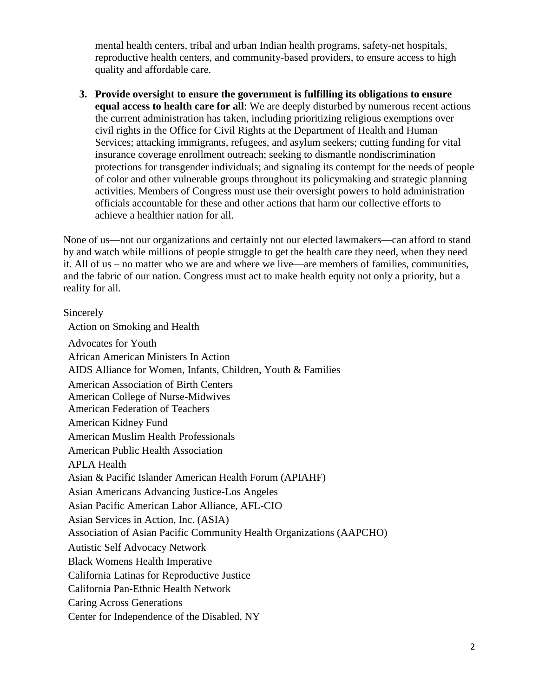mental health centers, tribal and urban Indian health programs, safety-net hospitals, reproductive health centers, and community-based providers, to ensure access to high quality and affordable care.

**3. Provide oversight to ensure the government is fulfilling its obligations to ensure equal access to health care for all**: We are deeply disturbed by numerous recent actions the current administration has taken, including prioritizing religious exemptions over civil rights in the Office for Civil Rights at the Department of Health and Human Services; attacking immigrants, refugees, and asylum seekers; cutting funding for vital insurance coverage enrollment outreach; seeking to dismantle nondiscrimination protections for transgender individuals; and signaling its contempt for the needs of people of color and other vulnerable groups throughout its policymaking and strategic planning activities. Members of Congress must use their oversight powers to hold administration officials accountable for these and other actions that harm our collective efforts to achieve a healthier nation for all.

None of us—not our organizations and certainly not our elected lawmakers—can afford to stand by and watch while millions of people struggle to get the health care they need, when they need it. All of us – no matter who we are and where we live—are members of families, communities, and the fabric of our nation. Congress must act to make health equity not only a priority, but a reality for all.

## Sincerely

Action on Smoking and Health Advocates for Youth African American Ministers In Action AIDS Alliance for Women, Infants, Children, Youth & Families American Association of Birth Centers American College of Nurse-Midwives American Federation of Teachers American Kidney Fund American Muslim Health Professionals American Public Health Association APLA Health Asian & Pacific Islander American Health Forum (APIAHF) Asian Americans Advancing Justice-Los Angeles Asian Pacific American Labor Alliance, AFL-CIO Asian Services in Action, Inc. (ASIA) Association of Asian Pacific Community Health Organizations (AAPCHO) Autistic Self Advocacy Network Black Womens Health Imperative California Latinas for Reproductive Justice California Pan-Ethnic Health Network Caring Across Generations Center for Independence of the Disabled, NY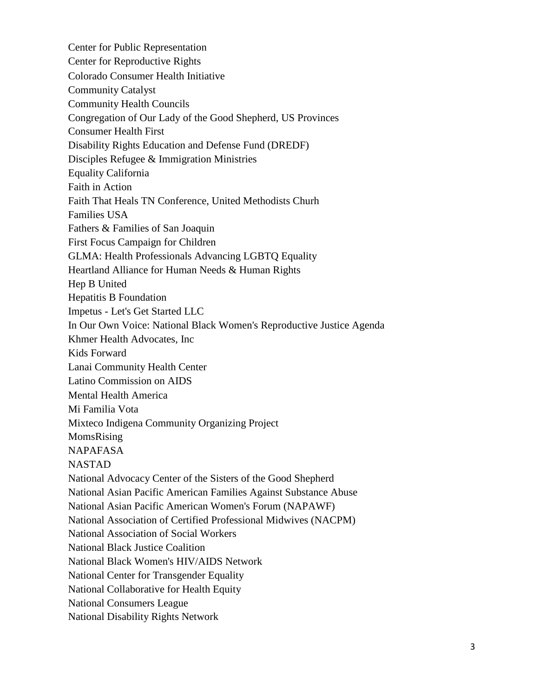Center for Public Representation Center for Reproductive Rights Colorado Consumer Health Initiative Community Catalyst Community Health Councils Congregation of Our Lady of the Good Shepherd, US Provinces Consumer Health First Disability Rights Education and Defense Fund (DREDF) Disciples Refugee & Immigration Ministries Equality California Faith in Action Faith That Heals TN Conference, United Methodists Churh Families USA Fathers & Families of San Joaquin First Focus Campaign for Children GLMA: Health Professionals Advancing LGBTQ Equality Heartland Alliance for Human Needs & Human Rights Hep B United Hepatitis B Foundation Impetus - Let's Get Started LLC In Our Own Voice: National Black Women's Reproductive Justice Agenda Khmer Health Advocates, Inc Kids Forward Lanai Community Health Center Latino Commission on AIDS Mental Health America Mi Familia Vota Mixteco Indigena Community Organizing Project MomsRising NAPAFASA NASTAD National Advocacy Center of the Sisters of the Good Shepherd National Asian Pacific American Families Against Substance Abuse National Asian Pacific American Women's Forum (NAPAWF) National Association of Certified Professional Midwives (NACPM) National Association of Social Workers National Black Justice Coalition National Black Women's HIV/AIDS Network National Center for Transgender Equality National Collaborative for Health Equity National Consumers League National Disability Rights Network